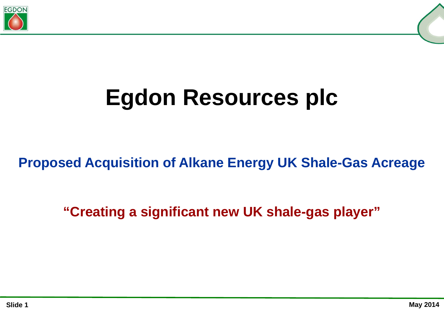

## **Egdon Resources plc**

## **Proposed Acquisition of Alkane Energy UK Shale-Gas Acreage**

**"Creating a significant new UK shale-gas player"**

**Slide 1**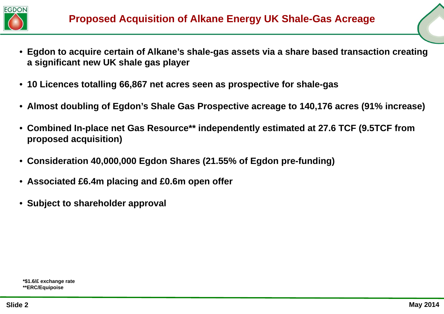

- **Egdon to acquire certain of Alkane's shale-gas assets via a share based transaction creating a significant new UK shale gas player**
- **10 Licences totalling 66,867 net acres seen as prospective for shale-gas**
- **Almost doubling of Egdon's Shale Gas Prospective acreage to 140,176 acres (91% increase)**
- **Combined In-place net Gas Resource\*\* independently estimated at 27.6 TCF (9.5TCF from proposed acquisition)**
- **Consideration 40,000,000 Egdon Shares (21.55% of Egdon pre-funding)**
- **Associated £6.4m placing and £0.6m open offer**
- **Subject to shareholder approval**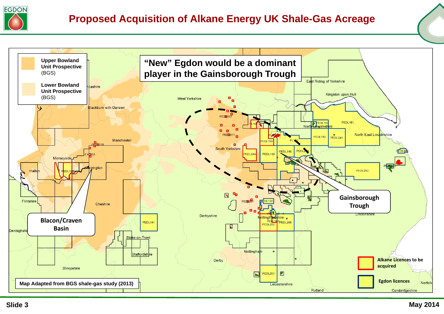